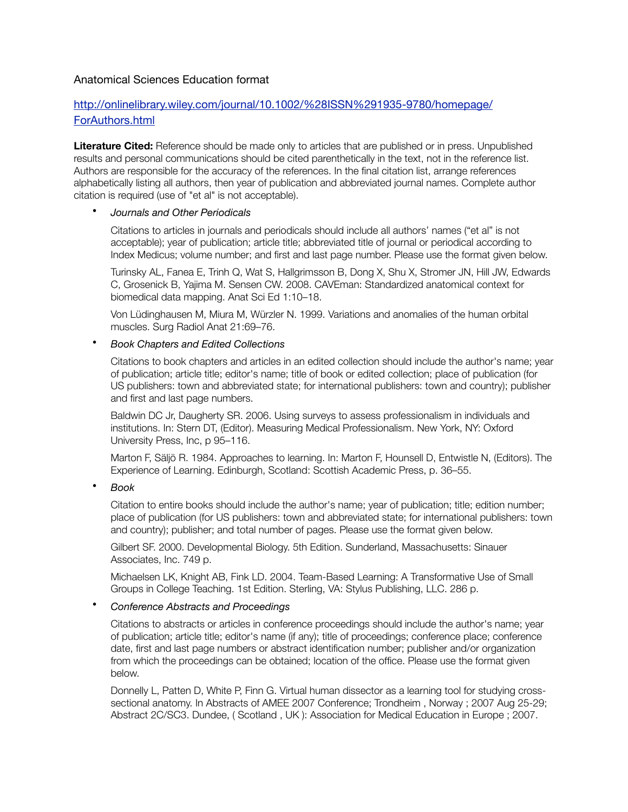## Anatomical Sciences Education format

# [http://onlinelibrary.wiley.com/journal/10.1002/%28ISSN%291935-9780/homepage/](http://onlinelibrary.wiley.com/journal/10.1002/%28ISSN%291935-9780/homepage/ForAuthors.html) ForAuthors.html

**Literature Cited:** Reference should be made only to articles that are published or in press. Unpublished results and personal communications should be cited parenthetically in the text, not in the reference list. Authors are responsible for the accuracy of the references. In the final citation list, arrange references alphabetically listing all authors, then year of publication and abbreviated journal names. Complete author citation is required (use of "et al" is not acceptable).

### • *Journals and Other Periodicals*

Citations to articles in journals and periodicals should include all authors' names ("et al" is not acceptable); year of publication; article title; abbreviated title of journal or periodical according to Index Medicus; volume number; and first and last page number. Please use the format given below.

Turinsky AL, Fanea E, Trinh Q, Wat S, Hallgrimsson B, Dong X, Shu X, Stromer JN, Hill JW, Edwards C, Grosenick B, Yajima M. Sensen CW. 2008. CAVEman: Standardized anatomical context for biomedical data mapping. Anat Sci Ed 1:10–18.

Von Lüdinghausen M, Miura M, Würzler N. 1999. Variations and anomalies of the human orbital muscles. Surg Radiol Anat 21:69–76.

### • *Book Chapters and Edited Collections*

Citations to book chapters and articles in an edited collection should include the author's name; year of publication; article title; editor's name; title of book or edited collection; place of publication (for US publishers: town and abbreviated state; for international publishers: town and country); publisher and first and last page numbers.

Baldwin DC Jr, Daugherty SR. 2006. Using surveys to assess professionalism in individuals and institutions. In: Stern DT, (Editor). Measuring Medical Professionalism. New York, NY: Oxford University Press, Inc, p 95–116.

Marton F, Säljö R. 1984. Approaches to learning. In: Marton F, Hounsell D, Entwistle N, (Editors). The Experience of Learning. Edinburgh, Scotland: Scottish Academic Press, p. 36–55.

• *Book*

Citation to entire books should include the author's name; year of publication; title; edition number; place of publication (for US publishers: town and abbreviated state; for international publishers: town and country); publisher; and total number of pages. Please use the format given below.

Gilbert SF. 2000. Developmental Biology. 5th Edition. Sunderland, Massachusetts: Sinauer Associates, Inc. 749 p.

Michaelsen LK, Knight AB, Fink LD. 2004. Team-Based Learning: A Transformative Use of Small Groups in College Teaching. 1st Edition. Sterling, VA: Stylus Publishing, LLC. 286 p.

### • *Conference Abstracts and Proceedings*

Citations to abstracts or articles in conference proceedings should include the author's name; year of publication; article title; editor's name (if any); title of proceedings; conference place; conference date, first and last page numbers or abstract identification number; publisher and/or organization from which the proceedings can be obtained; location of the office. Please use the format given below.

Donnelly L, Patten D, White P, Finn G. Virtual human dissector as a learning tool for studying crosssectional anatomy. In Abstracts of AMEE 2007 Conference; Trondheim , Norway ; 2007 Aug 25-29; Abstract 2C/SC3. Dundee, ( Scotland , UK ): Association for Medical Education in Europe ; 2007.